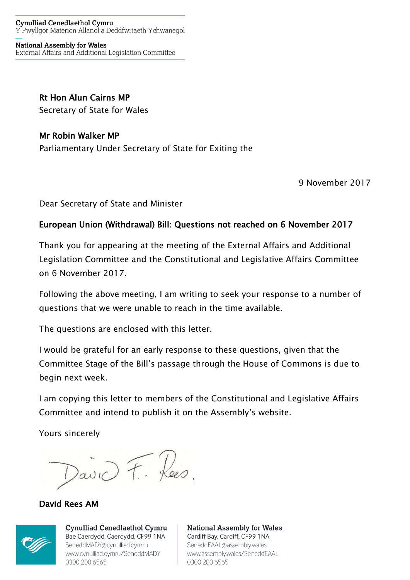#### **Cynulliad Cenedlaethol Cymru** Y Pwyllgor Materion Allanol a Deddfwriaeth Ychwanegol

**National Assembly for Wales** External Affairs and Additional Legislation Committee

## **Rt Hon Alun Cairns MP**

Secretary of State for Wales

## **Mr Robin Walker MP**

Parliamentary Under Secretary of State for Exiting the

9 November 2017

Dear Secretary of State and Minister

## **European Union (Withdrawal) Bill: Questions not reached on 6 November 2017**

Thank you for appearing at the meeting of the External Affairs and Additional Legislation Committee and the Constitutional and Legislative Affairs Committee on 6 November 2017.

Following the above meeting, I am writing to seek your response to a number of questions that we were unable to reach in the time available.

The questions are enclosed with this letter.

I would be grateful for an early response to these questions, given that the Committee Stage of the Bill's passage through the House of Commons is due to begin next week.

I am copying this letter to members of the Constitutional and Legislative Affairs Committee and intend to publish it on the Assembly's website.

Yours sincerely

avid F. Rees.

**David Rees AM**



**Cynulliad Cenedlaethol Cymru** Bae Caerdydd, Caerdydd, CF99 1NA SeneddMADY@cynulliad.cymru www.cynulliad.cymru/SeneddMADY 0300 200 6565

**National Assembly for Wales** Cardiff Bay, Cardiff, CF99 1NA SeneddEAAL@assembly.wales www.assembly.wales/SeneddEAAL 0300 200 6565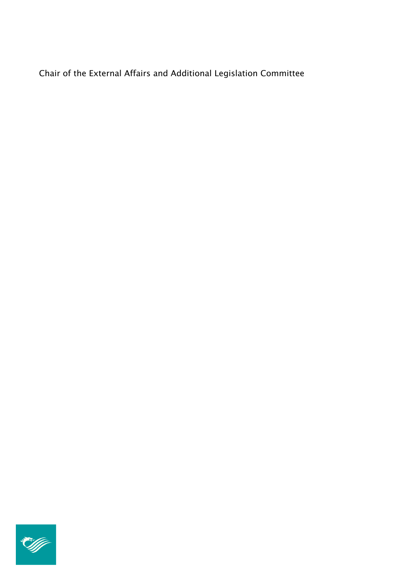Chair of the External Affairs and Additional Legislation Committee

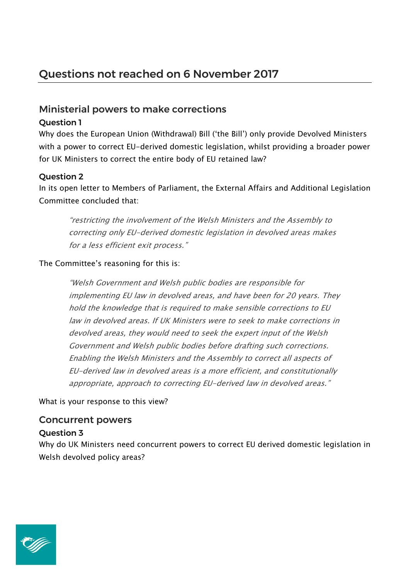## Ministerial powers to make corrections

#### Question 1

Why does the European Union (Withdrawal) Bill ('the Bill') only provide Devolved Ministers with a power to correct EU-derived domestic legislation, whilst providing a broader power for UK Ministers to correct the entire body of EU retained law?

## Question 2

In its open letter to Members of Parliament, the External Affairs and Additional Legislation Committee concluded that:

*"restricting the involvement of the Welsh Ministers and the Assembly to correcting only EU-derived domestic legislation in devolved areas makes for <sup>a</sup> less efficient exit process."*

#### The Committee's reasoning for this is:

*"Welsh Government and Welsh public bodies are responsible for implementing EU law in devolved areas, and have been for 20 years. They hold the knowledge that is required to make sensible corrections to EU law in devolved areas. If UK Ministers were to seek to make corrections in devolved areas, they would need to seek the expert input of the Welsh Government and Welsh public bodies before drafting such corrections. Enabling the Welsh Ministers and the Assembly to correct all aspects of EU-derived law in devolved areas is <sup>a</sup> more efficient, and constitutionally appropriate, approach to correcting EU-derived law in devolved areas."*

What is your response to this view?

# Concurrent powers

Question 3

Why do UK Ministers need concurrent powers to correct EU derived domestic legislation in Welsh devolved policy areas?

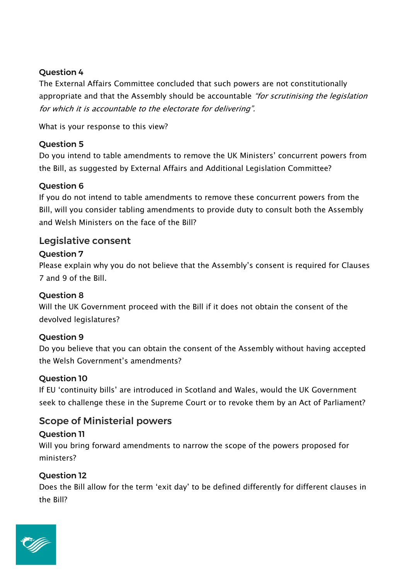## Question 4

The External Affairs Committee concluded that such powers are not constitutionally appropriate and that the Assembly should be accountable *"for scrutinising the legislation for which it is accountable to the electorate for delivering".*

What is your response to this view?

## Question 5

Do you intend to table amendments to remove the UK Ministers' concurrent powers from the Bill, as suggested by External Affairs and Additional Legislation Committee?

## Question 6

If you do not intend to table amendments to remove these concurrent powers from the Bill, will you consider tabling amendments to provide duty to consult both the Assembly and Welsh Ministers on the face of the Bill?

## Legislative consent

## Question 7

Please explain why you do not believe that the Assembly's consent is required for Clauses 7 and 9 of the Bill.

## Question 8

Will the UK Government proceed with the Bill if it does not obtain the consent of the devolved legislatures?

## Question 9

Do you believe that you can obtain the consent of the Assembly without having accepted the Welsh Government's amendments?

## Question 10

If EU 'continuity bills' are introduced in Scotland and Wales, would the UK Government seek to challenge these in the Supreme Court or to revoke them by an Act of Parliament?

## Scope of Ministerial powers

## Question 11

Will you bring forward amendments to narrow the scope of the powers proposed for ministers?

## Question 12

Does the Bill allow for the term 'exit day' to be defined differently for different clauses in the Bill?